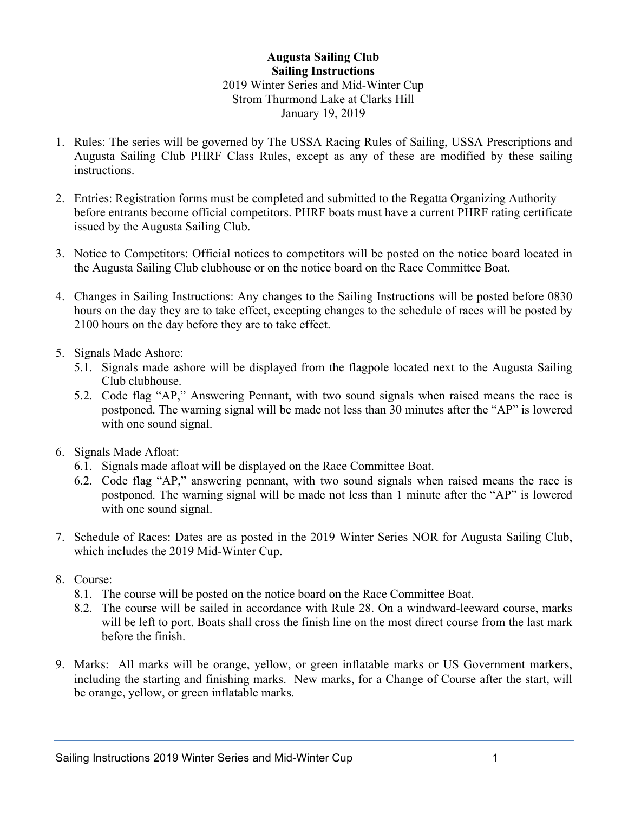## **Augusta Sailing Club Sailing Instructions** 2019 Winter Series and Mid-Winter Cup Strom Thurmond Lake at Clarks Hill January 19, 2019

- 1. Rules: The series will be governed by The USSA Racing Rules of Sailing, USSA Prescriptions and Augusta Sailing Club PHRF Class Rules, except as any of these are modified by these sailing instructions.
- 2. Entries: Registration forms must be completed and submitted to the Regatta Organizing Authority before entrants become official competitors. PHRF boats must have a current PHRF rating certificate issued by the Augusta Sailing Club.
- 3. Notice to Competitors: Official notices to competitors will be posted on the notice board located in the Augusta Sailing Club clubhouse or on the notice board on the Race Committee Boat.
- 4. Changes in Sailing Instructions: Any changes to the Sailing Instructions will be posted before 0830 hours on the day they are to take effect, excepting changes to the schedule of races will be posted by 2100 hours on the day before they are to take effect.
- 5. Signals Made Ashore:
	- 5.1. Signals made ashore will be displayed from the flagpole located next to the Augusta Sailing Club clubhouse.
	- 5.2. Code flag "AP," Answering Pennant, with two sound signals when raised means the race is postponed. The warning signal will be made not less than 30 minutes after the "AP" is lowered with one sound signal.
- 6. Signals Made Afloat:
	- 6.1. Signals made afloat will be displayed on the Race Committee Boat.
	- 6.2. Code flag "AP," answering pennant, with two sound signals when raised means the race is postponed. The warning signal will be made not less than 1 minute after the "AP" is lowered with one sound signal.
- 7. Schedule of Races: Dates are as posted in the 2019 Winter Series NOR for Augusta Sailing Club, which includes the 2019 Mid-Winter Cup.
- 8. Course:
	- 8.1. The course will be posted on the notice board on the Race Committee Boat.
	- 8.2. The course will be sailed in accordance with Rule 28. On a windward-leeward course, marks will be left to port. Boats shall cross the finish line on the most direct course from the last mark before the finish.
- 9. Marks: All marks will be orange, yellow, or green inflatable marks or US Government markers, including the starting and finishing marks. New marks, for a Change of Course after the start, will be orange, yellow, or green inflatable marks.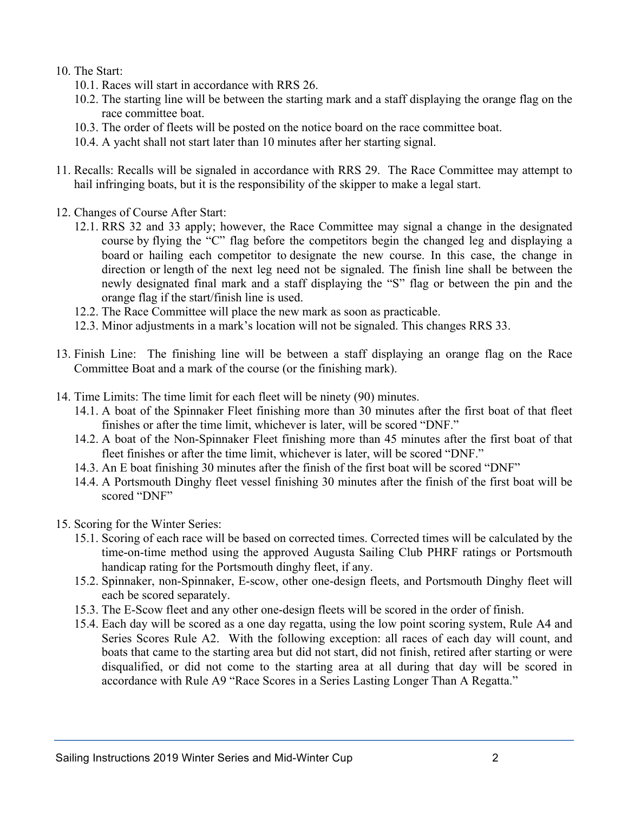- 10. The Start:
	- 10.1. Races will start in accordance with RRS 26.
	- 10.2. The starting line will be between the starting mark and a staff displaying the orange flag on the race committee boat.
	- 10.3. The order of fleets will be posted on the notice board on the race committee boat.
	- 10.4. A yacht shall not start later than 10 minutes after her starting signal.
- 11. Recalls: Recalls will be signaled in accordance with RRS 29. The Race Committee may attempt to hail infringing boats, but it is the responsibility of the skipper to make a legal start.
- 12. Changes of Course After Start:
	- 12.1. RRS 32 and 33 apply; however, the Race Committee may signal a change in the designated course by flying the "C" flag before the competitors begin the changed leg and displaying a board or hailing each competitor to designate the new course. In this case, the change in direction or length of the next leg need not be signaled. The finish line shall be between the newly designated final mark and a staff displaying the "S" flag or between the pin and the orange flag if the start/finish line is used.
	- 12.2. The Race Committee will place the new mark as soon as practicable.
	- 12.3. Minor adjustments in a mark's location will not be signaled. This changes RRS 33.
- 13. Finish Line: The finishing line will be between a staff displaying an orange flag on the Race Committee Boat and a mark of the course (or the finishing mark).
- 14. Time Limits: The time limit for each fleet will be ninety (90) minutes.
	- 14.1. A boat of the Spinnaker Fleet finishing more than 30 minutes after the first boat of that fleet finishes or after the time limit, whichever is later, will be scored "DNF."
	- 14.2. A boat of the Non-Spinnaker Fleet finishing more than 45 minutes after the first boat of that fleet finishes or after the time limit, whichever is later, will be scored "DNF."
	- 14.3. An E boat finishing 30 minutes after the finish of the first boat will be scored "DNF"
	- 14.4. A Portsmouth Dinghy fleet vessel finishing 30 minutes after the finish of the first boat will be scored "DNF"
- 15. Scoring for the Winter Series:
	- 15.1. Scoring of each race will be based on corrected times. Corrected times will be calculated by the time-on-time method using the approved Augusta Sailing Club PHRF ratings or Portsmouth handicap rating for the Portsmouth dinghy fleet, if any.
	- 15.2. Spinnaker, non-Spinnaker, E-scow, other one-design fleets, and Portsmouth Dinghy fleet will each be scored separately.
	- 15.3. The E-Scow fleet and any other one-design fleets will be scored in the order of finish.
	- 15.4. Each day will be scored as a one day regatta, using the low point scoring system, Rule A4 and Series Scores Rule A2. With the following exception: all races of each day will count, and boats that came to the starting area but did not start, did not finish, retired after starting or were disqualified, or did not come to the starting area at all during that day will be scored in accordance with Rule A9 "Race Scores in a Series Lasting Longer Than A Regatta."